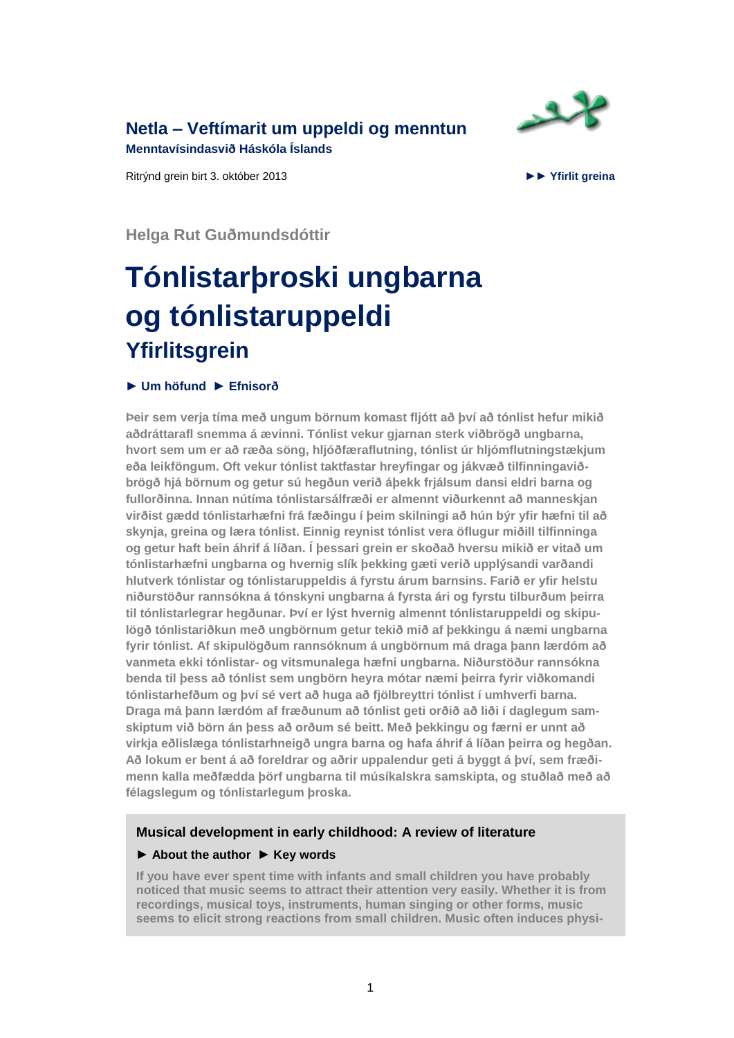**Netla – [Veftímarit um uppeldi og menntun](http://netla.hi.is/)** 

**Menntavísindasvið Háskóla Íslands**

Ritrýnd grein birt 3. október 2013 ►► **[Yfirlit greina](http://netla.hi.is/arid-2013)**



**Helga Rut Guðmundsdóttir**

# **Tónlistarþroski ungbarna og tónlistaruppeldi Yfirlitsgrein**

#### **► [Um höfund](#page-14-0) ► [Efnisorð](#page-15-0)**

**Þeir sem verja tíma með ungum börnum komast fljótt að því að tónlist hefur mikið aðdráttarafl snemma á ævinni. Tónlist vekur gjarnan sterk viðbrögð ungbarna, hvort sem um er að ræða söng, hljóðfæraflutning, tónlist úr hljómflutningstækjum eða leikföngum. Oft vekur tónlist taktfastar hreyfingar og jákvæð tilfinningaviðbrögð hjá börnum og getur sú hegðun verið áþekk frjálsum dansi eldri barna og fullorðinna. Innan nútíma tónlistarsálfræði er almennt viðurkennt að manneskjan virðist gædd tónlistarhæfni frá fæðingu í þeim skilningi að hún býr yfir hæfni til að skynja, greina og læra tónlist. Einnig reynist tónlist vera öflugur miðill tilfinninga og getur haft bein áhrif á líðan. Í þessari grein er skoðað hversu mikið er vitað um tónlistarhæfni ungbarna og hvernig slík þekking gæti verið upplýsandi varðandi hlutverk tónlistar og tónlistaruppeldis á fyrstu árum barnsins. Farið er yfir helstu niðurstöður rannsókna á tónskyni ungbarna á fyrsta ári og fyrstu tilburðum þeirra til tónlistarlegrar hegðunar. Því er lýst hvernig almennt tónlistaruppeldi og skipulögð tónlistariðkun með ungbörnum getur tekið mið af þekkingu á næmi ungbarna fyrir tónlist. Af skipulögðum rannsóknum á ungbörnum má draga þann lærdóm að vanmeta ekki tónlistar- og vitsmunalega hæfni ungbarna. Niðurstöður rannsókna benda til þess að tónlist sem ungbörn heyra mótar næmi þeirra fyrir viðkomandi tónlistarhefðum og því sé vert að huga að fjölbreyttri tónlist í umhverfi barna. Draga má þann lærdóm af fræðunum að tónlist geti orðið að liði í daglegum samskiptum við börn án þess að orðum sé beitt. Með þekkingu og færni er unnt að virkja eðlislæga tónlistarhneigð ungra barna og hafa áhrif á líðan þeirra og hegðan. Að lokum er bent á að foreldrar og aðrir uppalendur geti á byggt á því, sem fræðimenn kalla meðfædda þörf ungbarna til músíkalskra samskipta, og stuðlað með að félagslegum og tónlistarlegum þroska.**

#### **Musical development in early childhood: A review of literature**

#### **► [About the author](#page-15-1) ► [Key words](#page-15-2)**

**If you have ever spent time with infants and small children you have probably noticed that music seems to attract their attention very easily. Whether it is from recordings, musical toys, instruments, human singing or other forms, music seems to elicit strong reactions from small children. Music often induces physi-**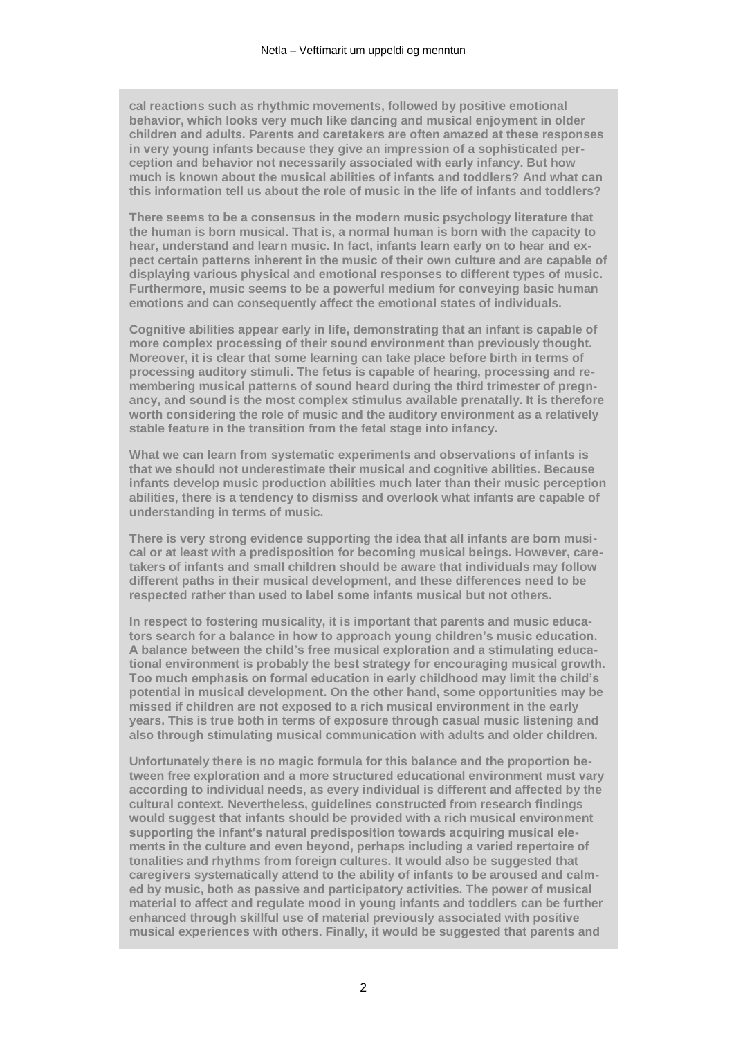**cal reactions such as rhythmic movements, followed by positive emotional behavior, which looks very much like dancing and musical enjoyment in older children and adults. Parents and caretakers are often amazed at these responses in very young infants because they give an impression of a sophisticated perception and behavior not necessarily associated with early infancy. But how much is known about the musical abilities of infants and toddlers? And what can this information tell us about the role of music in the life of infants and toddlers?**

**There seems to be a consensus in the modern music psychology literature that the human is born musical. That is, a normal human is born with the capacity to hear, understand and learn music. In fact, infants learn early on to hear and expect certain patterns inherent in the music of their own culture and are capable of displaying various physical and emotional responses to different types of music. Furthermore, music seems to be a powerful medium for conveying basic human emotions and can consequently affect the emotional states of individuals.**

**Cognitive abilities appear early in life, demonstrating that an infant is capable of more complex processing of their sound environment than previously thought. Moreover, it is clear that some learning can take place before birth in terms of processing auditory stimuli. The fetus is capable of hearing, processing and remembering musical patterns of sound heard during the third trimester of pregnancy, and sound is the most complex stimulus available prenatally. It is therefore worth considering the role of music and the auditory environment as a relatively stable feature in the transition from the fetal stage into infancy.**

**What we can learn from systematic experiments and observations of infants is that we should not underestimate their musical and cognitive abilities. Because infants develop music production abilities much later than their music perception abilities, there is a tendency to dismiss and overlook what infants are capable of understanding in terms of music.**

**There is very strong evidence supporting the idea that all infants are born musical or at least with a predisposition for becoming musical beings. However, caretakers of infants and small children should be aware that individuals may follow different paths in their musical development, and these differences need to be respected rather than used to label some infants musical but not others.**

**In respect to fostering musicality, it is important that parents and music educators search for a balance in how to approach young children's music education. A balance between the child's free musical exploration and a stimulating educational environment is probably the best strategy for encouraging musical growth. Too much emphasis on formal education in early childhood may limit the child's potential in musical development. On the other hand, some opportunities may be missed if children are not exposed to a rich musical environment in the early years. This is true both in terms of exposure through casual music listening and also through stimulating musical communication with adults and older children.**

**Unfortunately there is no magic formula for this balance and the proportion between free exploration and a more structured educational environment must vary according to individual needs, as every individual is different and affected by the cultural context. Nevertheless, guidelines constructed from research findings would suggest that infants should be provided with a rich musical environment supporting the infant's natural predisposition towards acquiring musical elements in the culture and even beyond, perhaps including a varied repertoire of tonalities and rhythms from foreign cultures. It would also be suggested that caregivers systematically attend to the ability of infants to be aroused and calmed by music, both as passive and participatory activities. The power of musical material to affect and regulate mood in young infants and toddlers can be further enhanced through skillful use of material previously associated with positive musical experiences with others. Finally, it would be suggested that parents and**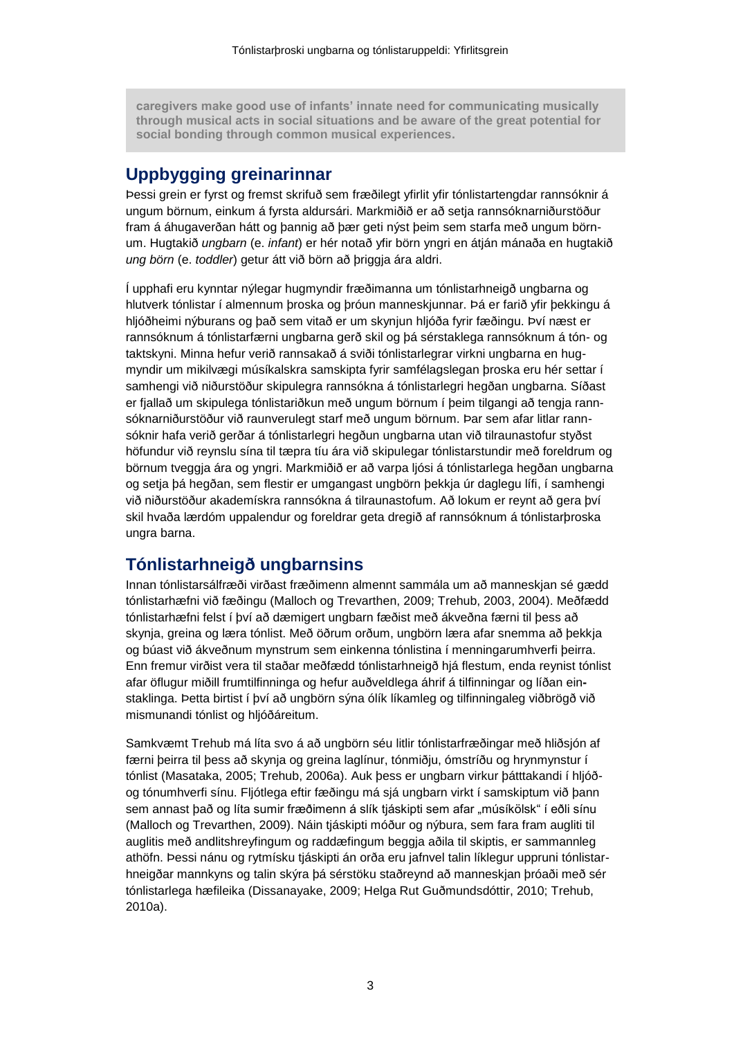**caregivers make good use of infants' innate need for communicating musically through musical acts in social situations and be aware of the great potential for social bonding through common musical experiences.**

## **Uppbygging greinarinnar**

Þessi grein er fyrst og fremst skrifuð sem fræðilegt yfirlit yfir tónlistartengdar rannsóknir á ungum börnum, einkum á fyrsta aldursári. Markmiðið er að setja rannsóknarniðurstöður fram á áhugaverðan hátt og þannig að þær geti nýst þeim sem starfa með ungum börnum. Hugtakið *ungbarn* (e. *infant*) er hér notað yfir börn yngri en átján mánaða en hugtakið *ung börn* (e. *toddler*) getur átt við börn að þriggja ára aldri.

Í upphafi eru kynntar nýlegar hugmyndir fræðimanna um tónlistarhneigð ungbarna og hlutverk tónlistar í almennum þroska og þróun manneskjunnar. Þá er farið yfir þekkingu á hljóðheimi nýburans og það sem vitað er um skynjun hljóða fyrir fæðingu. Því næst er rannsóknum á tónlistarfærni ungbarna gerð skil og þá sérstaklega rannsóknum á tón- og taktskyni. Minna hefur verið rannsakað á sviði tónlistarlegrar virkni ungbarna en hugmyndir um mikilvægi músíkalskra samskipta fyrir samfélagslegan þroska eru hér settar í samhengi við niðurstöður skipulegra rannsókna á tónlistarlegri hegðan ungbarna. Síðast er fjallað um skipulega tónlistariðkun með ungum börnum í þeim tilgangi að tengja rannsóknarniðurstöður við raunverulegt starf með ungum börnum. Þar sem afar litlar rannsóknir hafa verið gerðar á tónlistarlegri hegðun ungbarna utan við tilraunastofur styðst höfundur við reynslu sína til tæpra tíu ára við skipulegar tónlistarstundir með foreldrum og börnum tveggja ára og yngri. Markmiðið er að varpa ljósi á tónlistarlega hegðan ungbarna og setja þá hegðan, sem flestir er umgangast ungbörn þekkja úr daglegu lífi, í samhengi við niðurstöður akademískra rannsókna á tilraunastofum. Að lokum er reynt að gera því skil hvaða lærdóm uppalendur og foreldrar geta dregið af rannsóknum á tónlistarþroska ungra barna.

## **Tónlistarhneigð ungbarnsins**

Innan tónlistarsálfræði virðast fræðimenn almennt sammála um að manneskjan sé gædd tónlistarhæfni við fæðingu (Malloch og Trevarthen, 2009; Trehub, 2003, 2004). Meðfædd tónlistarhæfni felst í því að dæmigert ungbarn fæðist með ákveðna færni til þess að skynja, greina og læra tónlist. Með öðrum orðum, ungbörn læra afar snemma að þekkja og búast við ákveðnum mynstrum sem einkenna tónlistina í menningarumhverfi þeirra. Enn fremur virðist vera til staðar meðfædd tónlistarhneigð hjá flestum, enda reynist tónlist afar öflugur miðill frumtilfinninga og hefur auðveldlega áhrif á tilfinningar og líðan einstaklinga. Þetta birtist í því að ungbörn sýna ólík líkamleg og tilfinningaleg viðbrögð við mismunandi tónlist og hljóðáreitum.

Samkvæmt Trehub má líta svo á að ungbörn séu litlir tónlistarfræðingar með hliðsjón af færni þeirra til þess að skynja og greina laglínur, tónmiðju, ómstríðu og hrynmynstur í tónlist (Masataka, 2005; Trehub, 2006a). Auk þess er ungbarn virkur þátttakandi í hljóðog tónumhverfi sínu. Fljótlega eftir fæðingu má sjá ungbarn virkt í samskiptum við þann sem annast það og líta sumir fræðimenn á slík tjáskipti sem afar "músíkölsk" í eðli sínu (Malloch og Trevarthen, 2009). Náin tjáskipti móður og nýbura, sem fara fram augliti til auglitis með andlitshreyfingum og raddæfingum beggja aðila til skiptis, er sammannleg athöfn. Þessi nánu og rytmísku tjáskipti án orða eru jafnvel talin líklegur uppruni tónlistarhneigðar mannkyns og talin skýra þá sérstöku staðreynd að manneskjan þróaði með sér tónlistarlega hæfileika (Dissanayake, 2009; Helga Rut Guðmundsdóttir, 2010; Trehub, 2010a).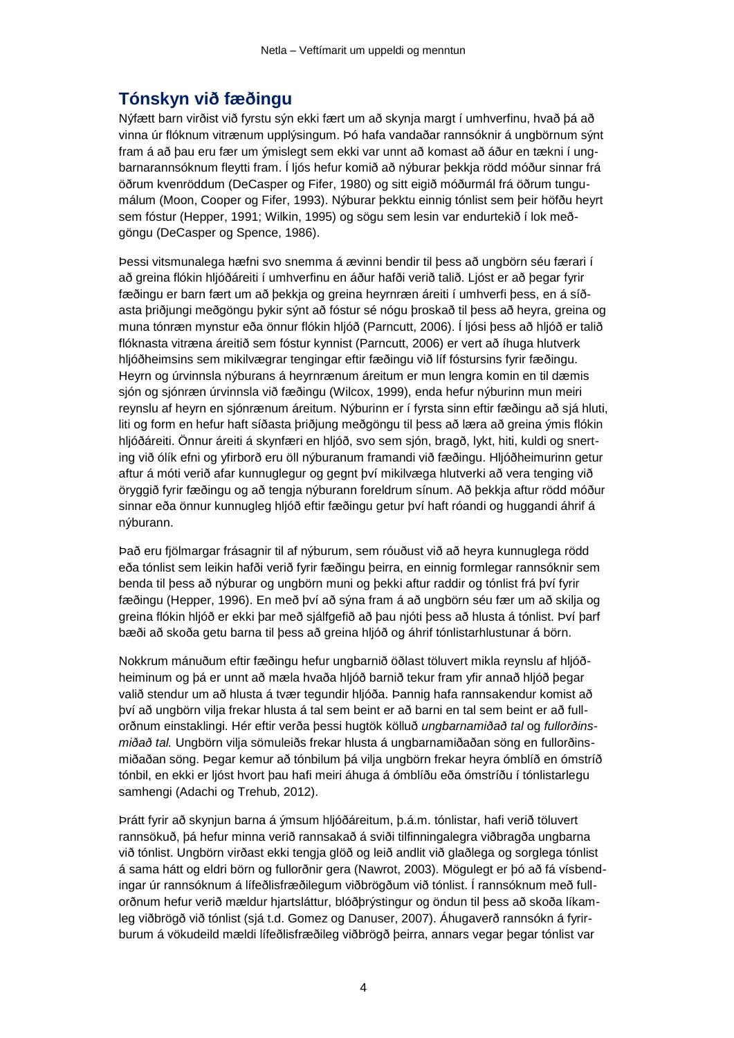# **Tónskyn við fæðingu**

Nýfætt barn virðist við fyrstu sýn ekki fært um að skynja margt í umhverfinu, hvað þá að vinna úr flóknum vitrænum upplýsingum. Þó hafa vandaðar rannsóknir á ungbörnum sýnt fram á að þau eru fær um ýmislegt sem ekki var unnt að komast að áður en tækni í ungbarnarannsóknum fleytti fram. Í ljós hefur komið að nýburar þekkja rödd móður sinnar frá öðrum kvenröddum (DeCasper og Fifer, 1980) og sitt eigið móðurmál frá öðrum tungumálum (Moon, Cooper og Fifer, 1993). Nýburar þekktu einnig tónlist sem þeir höfðu heyrt sem fóstur (Hepper, 1991; Wilkin, 1995) og sögu sem lesin var endurtekið í lok meðgöngu (DeCasper og Spence, 1986).

Þessi vitsmunalega hæfni svo snemma á ævinni bendir til þess að ungbörn séu færari í að greina flókin hljóðáreiti í umhverfinu en áður hafði verið talið. Ljóst er að þegar fyrir fæðingu er barn fært um að þekkja og greina heyrnræn áreiti í umhverfi þess, en á síðasta þriðjungi meðgöngu þykir sýnt að fóstur sé nógu þroskað til þess að heyra, greina og muna tónræn mynstur eða önnur flókin hljóð (Parncutt, 2006). Í ljósi þess að hljóð er talið flóknasta vitræna áreitið sem fóstur kynnist (Parncutt, 2006) er vert að íhuga hlutverk hljóðheimsins sem mikilvægrar tengingar eftir fæðingu við líf fóstursins fyrir fæðingu. Heyrn og úrvinnsla nýburans á heyrnrænum áreitum er mun lengra komin en til dæmis sjón og sjónræn úrvinnsla við fæðingu (Wilcox, 1999), enda hefur nýburinn mun meiri reynslu af heyrn en sjónrænum áreitum. Nýburinn er í fyrsta sinn eftir fæðingu að sjá hluti, liti og form en hefur haft síðasta þriðjung meðgöngu til þess að læra að greina ýmis flókin hljóðáreiti. Önnur áreiti á skynfæri en hljóð, svo sem sjón, bragð, lykt, hiti, kuldi og snerting við ólík efni og yfirborð eru öll nýburanum framandi við fæðingu. Hljóðheimurinn getur aftur á móti verið afar kunnuglegur og gegnt því mikilvæga hlutverki að vera tenging við öryggið fyrir fæðingu og að tengja nýburann foreldrum sínum. Að þekkja aftur rödd móður sinnar eða önnur kunnugleg hljóð eftir fæðingu getur því haft róandi og huggandi áhrif á nýburann.

Það eru fjölmargar frásagnir til af nýburum, sem róuðust við að heyra kunnuglega rödd eða tónlist sem leikin hafði verið fyrir fæðingu þeirra, en einnig formlegar rannsóknir sem benda til þess að nýburar og ungbörn muni og þekki aftur raddir og tónlist frá því fyrir fæðingu (Hepper, 1996). En með því að sýna fram á að ungbörn séu fær um að skilja og greina flókin hljóð er ekki þar með sjálfgefið að þau njóti þess að hlusta á tónlist. Því þarf bæði að skoða getu barna til þess að greina hljóð og áhrif tónlistarhlustunar á börn.

Nokkrum mánuðum eftir fæðingu hefur ungbarnið öðlast töluvert mikla reynslu af hljóðheiminum og þá er unnt að mæla hvaða hljóð barnið tekur fram yfir annað hljóð þegar valið stendur um að hlusta á tvær tegundir hljóða. Þannig hafa rannsakendur komist að því að ungbörn vilja frekar hlusta á tal sem beint er að barni en tal sem beint er að fullorðnum einstaklingi. Hér eftir verða þessi hugtök kölluð *ungbarnamiðað tal* og *fullorðinsmiðað tal.* Ungbörn vilja sömuleiðs frekar hlusta á ungbarnamiðaðan söng en fullorðinsmiðaðan söng. Þegar kemur að tónbilum þá vilja ungbörn frekar heyra ómblíð en ómstríð tónbil, en ekki er ljóst hvort þau hafi meiri áhuga á ómblíðu eða ómstríðu í tónlistarlegu samhengi (Adachi og Trehub, 2012).

Þrátt fyrir að skynjun barna á ýmsum hljóðáreitum, þ.á.m. tónlistar, hafi verið töluvert rannsökuð, þá hefur minna verið rannsakað á sviði tilfinningalegra viðbragða ungbarna við tónlist. Ungbörn virðast ekki tengja glöð og leið andlit við glaðlega og sorglega tónlist á sama hátt og eldri börn og fullorðnir gera (Nawrot, 2003). Mögulegt er þó að fá vísbendingar úr rannsóknum á lífeðlisfræðilegum viðbrögðum við tónlist. Í rannsóknum með fullorðnum hefur verið mældur hjartsláttur, blóðþrýstingur og öndun til þess að skoða líkamleg viðbrögð við tónlist (sjá t.d. Gomez og Danuser, 2007). Áhugaverð rannsókn á fyrirburum á vökudeild mældi lífeðlisfræðileg viðbrögð þeirra, annars vegar þegar tónlist var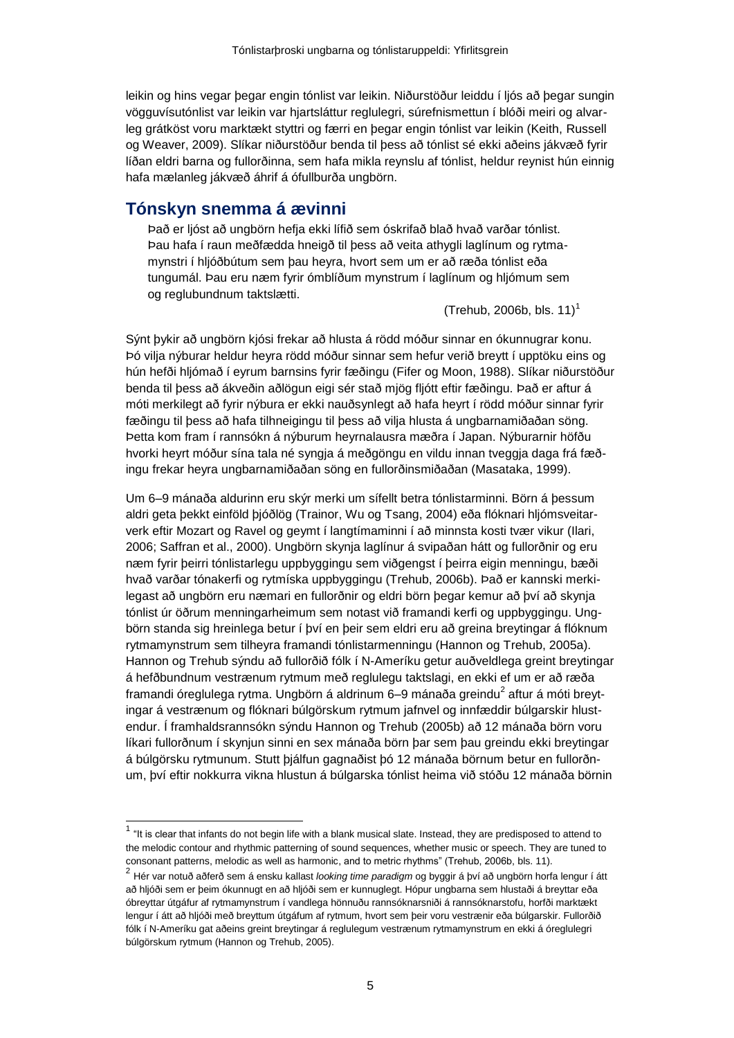leikin og hins vegar þegar engin tónlist var leikin. Niðurstöður leiddu í ljós að þegar sungin vögguvísutónlist var leikin var hjartsláttur reglulegri, súrefnismettun í blóði meiri og alvarleg grátköst voru marktækt styttri og færri en þegar engin tónlist var leikin (Keith, Russell og Weaver, 2009). Slíkar niðurstöður benda til þess að tónlist sé ekki aðeins jákvæð fyrir líðan eldri barna og fullorðinna, sem hafa mikla reynslu af tónlist, heldur reynist hún einnig hafa mælanleg jákvæð áhrif á ófullburða ungbörn.

#### **Tónskyn snemma á ævinni**

 $\overline{\phantom{a}}$ 

Það er ljóst að ungbörn hefja ekki lífið sem óskrifað blað hvað varðar tónlist. Þau hafa í raun meðfædda hneigð til þess að veita athygli laglínum og rytmamynstri í hljóðbútum sem þau heyra, hvort sem um er að ræða tónlist eða tungumál. Þau eru næm fyrir ómblíðum mynstrum í laglínum og hljómum sem og reglubundnum taktslætti.

(Trehub, 2006b, bls.  $11$ )<sup>1</sup>

Sýnt þykir að ungbörn kjósi frekar að hlusta á rödd móður sinnar en ókunnugrar konu. Þó vilja nýburar heldur heyra rödd móður sinnar sem hefur verið breytt í upptöku eins og hún hefði hljómað í eyrum barnsins fyrir fæðingu (Fifer og Moon, 1988). Slíkar niðurstöður benda til þess að ákveðin aðlögun eigi sér stað mjög fljótt eftir fæðingu. Það er aftur á móti merkilegt að fyrir nýbura er ekki nauðsynlegt að hafa heyrt í rödd móður sinnar fyrir fæðingu til þess að hafa tilhneigingu til þess að vilja hlusta á ungbarnamiðaðan söng. Þetta kom fram í rannsókn á nýburum heyrnalausra mæðra í Japan. Nýburarnir höfðu hvorki heyrt móður sína tala né syngja á meðgöngu en vildu innan tveggja daga frá fæðingu frekar heyra ungbarnamiðaðan söng en fullorðinsmiðaðan (Masataka, 1999).

Um 6–9 mánaða aldurinn eru skýr merki um sífellt betra tónlistarminni. Börn á þessum aldri geta þekkt einföld þjóðlög (Trainor, Wu og Tsang, 2004) eða flóknari hljómsveitarverk eftir Mozart og Ravel og geymt í langtímaminni í að minnsta kosti tvær vikur (Ilari, 2006; Saffran et al., 2000). Ungbörn skynja laglínur á svipaðan hátt og fullorðnir og eru næm fyrir þeirri tónlistarlegu uppbyggingu sem viðgengst í þeirra eigin menningu, bæði hvað varðar tónakerfi og rytmíska uppbyggingu (Trehub, 2006b). Það er kannski merkilegast að ungbörn eru næmari en fullorðnir og eldri börn þegar kemur að því að skynja tónlist úr öðrum menningarheimum sem notast við framandi kerfi og uppbyggingu. Ungbörn standa sig hreinlega betur í því en þeir sem eldri eru að greina breytingar á flóknum rytmamynstrum sem tilheyra framandi tónlistarmenningu (Hannon og Trehub, 2005a). Hannon og Trehub sýndu að fullorðið fólk í N-Ameríku getur auðveldlega greint breytingar á hefðbundnum vestrænum rytmum með reglulegu taktslagi, en ekki ef um er að ræða framandi óreglulega rytma. Ungbörn á aldrinum 6–9 mánaða greindu $^2$  aftur á móti breytingar á vestrænum og flóknari búlgörskum rytmum jafnvel og innfæddir búlgarskir hlustendur. Í framhaldsrannsókn sýndu Hannon og Trehub (2005b) að 12 mánaða börn voru líkari fullorðnum í skynjun sinni en sex mánaða börn þar sem þau greindu ekki breytingar á búlgörsku rytmunum. Stutt þjálfun gagnaðist þó 12 mánaða börnum betur en fullorðnum, því eftir nokkurra vikna hlustun á búlgarska tónlist heima við stóðu 12 mánaða börnin

 $1$  "It is clear that infants do not begin life with a blank musical slate. Instead, they are predisposed to attend to the melodic contour and rhythmic patterning of sound sequences, whether music or speech. They are tuned to consonant patterns, melodic as well as harmonic, and to metric rhythms" (Trehub, 2006b, bls. 11).

<sup>2</sup> Hér var notuð aðferð sem á ensku kallast *looking time paradigm* og byggir á því að ungbörn horfa lengur í átt að hljóði sem er þeim ókunnugt en að hljóði sem er kunnuglegt. Hópur ungbarna sem hlustaði á breyttar eða óbreyttar útgáfur af rytmamynstrum í vandlega hönnuðu rannsóknarsniði á rannsóknarstofu, horfði marktækt lengur í átt að hljóði með breyttum útgáfum af rytmum, hvort sem þeir voru vestrænir eða búlgarskir. Fullorðið fólk í N-Ameríku gat aðeins greint breytingar á reglulegum vestrænum rytmamynstrum en ekki á óreglulegri búlgörskum rytmum (Hannon og Trehub, 2005).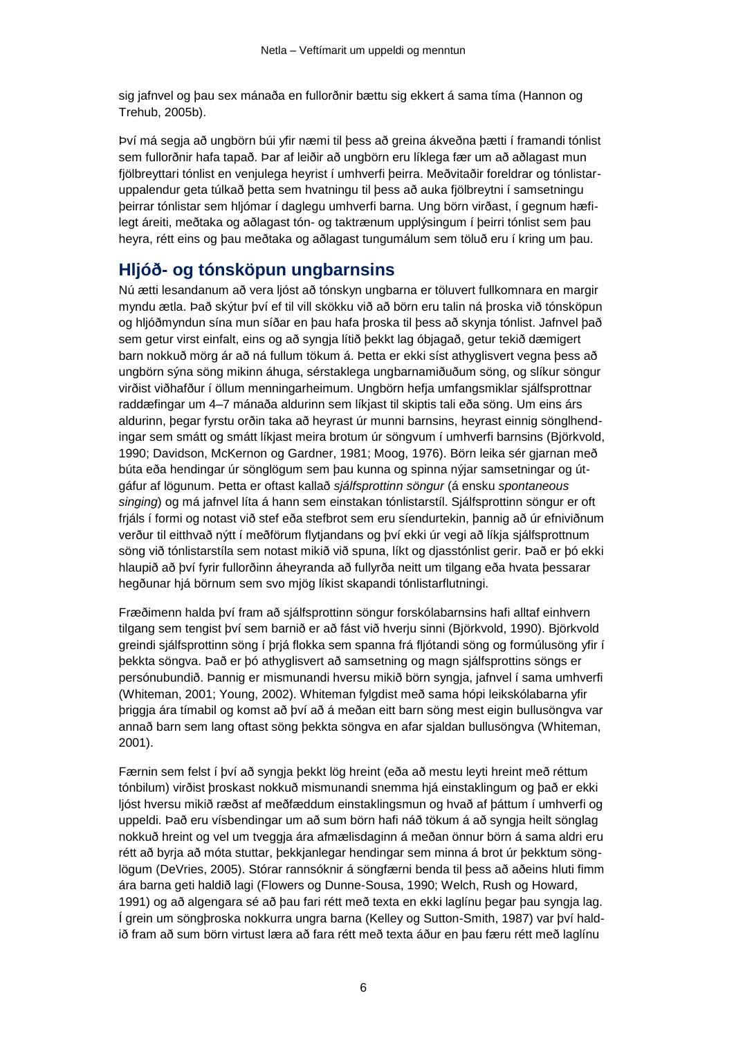sig jafnvel og þau sex mánaða en fullorðnir bættu sig ekkert á sama tíma (Hannon og Trehub, 2005b).

Því má segja að ungbörn búi yfir næmi til þess að greina ákveðna þætti í framandi tónlist sem fullorðnir hafa tapað. Þar af leiðir að ungbörn eru líklega fær um að aðlagast mun fjölbreyttari tónlist en venjulega heyrist í umhverfi þeirra. Meðvitaðir foreldrar og tónlistaruppalendur geta túlkað þetta sem hvatningu til þess að auka fjölbreytni í samsetningu þeirrar tónlistar sem hljómar í daglegu umhverfi barna. Ung börn virðast, í gegnum hæfilegt áreiti, meðtaka og aðlagast tón- og taktrænum upplýsingum í þeirri tónlist sem þau heyra, rétt eins og þau meðtaka og aðlagast tungumálum sem töluð eru í kring um þau.

# **Hljóð- og tónsköpun ungbarnsins**

Nú ætti lesandanum að vera ljóst að tónskyn ungbarna er töluvert fullkomnara en margir myndu ætla. Það skýtur því ef til vill skökku við að börn eru talin ná þroska við tónsköpun og hljóðmyndun sína mun síðar en þau hafa þroska til þess að skynja tónlist. Jafnvel það sem getur virst einfalt, eins og að syngja lítið þekkt lag óbjagað, getur tekið dæmigert barn nokkuð mörg ár að ná fullum tökum á. Þetta er ekki síst athyglisvert vegna þess að ungbörn sýna söng mikinn áhuga, sérstaklega ungbarnamiðuðum söng, og slíkur söngur virðist viðhafður í öllum menningarheimum. Ungbörn hefja umfangsmiklar sjálfsprottnar raddæfingar um 4–7 mánaða aldurinn sem líkjast til skiptis tali eða söng. Um eins árs aldurinn, þegar fyrstu orðin taka að heyrast úr munni barnsins, heyrast einnig sönglhendingar sem smátt og smátt líkjast meira brotum úr söngvum í umhverfi barnsins (Björkvold, 1990; Davidson, McKernon og Gardner, 1981; Moog, 1976). Börn leika sér gjarnan með búta eða hendingar úr sönglögum sem þau kunna og spinna nýjar samsetningar og útgáfur af lögunum. Þetta er oftast kallað *sjálfsprottinn söngur* (á ensku *spontaneous singing*) og má jafnvel líta á hann sem einstakan tónlistarstíl. Sjálfsprottinn söngur er oft frjáls í formi og notast við stef eða stefbrot sem eru síendurtekin, þannig að úr efniviðnum verður til eitthvað nýtt í meðförum flytjandans og því ekki úr vegi að líkja sjálfsprottnum söng við tónlistarstíla sem notast mikið við spuna, líkt og djasstónlist gerir. Það er þó ekki hlaupið að því fyrir fullorðinn áheyranda að fullyrða neitt um tilgang eða hvata þessarar hegðunar hjá börnum sem svo mjög líkist skapandi tónlistarflutningi.

Fræðimenn halda því fram að sjálfsprottinn söngur forskólabarnsins hafi alltaf einhvern tilgang sem tengist því sem barnið er að fást við hverju sinni (Björkvold, 1990). Björkvold greindi sjálfsprottinn söng í þrjá flokka sem spanna frá fljótandi söng og formúlusöng yfir í þekkta söngva. Það er þó athyglisvert að samsetning og magn sjálfsprottins söngs er persónubundið. Þannig er mismunandi hversu mikið börn syngja, jafnvel í sama umhverfi (Whiteman, 2001; Young, 2002). Whiteman fylgdist með sama hópi leikskólabarna yfir þriggja ára tímabil og komst að því að á meðan eitt barn söng mest eigin bullusöngva var annað barn sem lang oftast söng þekkta söngva en afar sjaldan bullusöngva (Whiteman, 2001).

Færnin sem felst í því að syngja þekkt lög hreint (eða að mestu leyti hreint með réttum tónbilum) virðist þroskast nokkuð mismunandi snemma hjá einstaklingum og það er ekki ljóst hversu mikið ræðst af meðfæddum einstaklingsmun og hvað af þáttum í umhverfi og uppeldi. Það eru vísbendingar um að sum börn hafi náð tökum á að syngja heilt sönglag nokkuð hreint og vel um tveggja ára afmælisdaginn á meðan önnur börn á sama aldri eru rétt að byrja að móta stuttar, þekkjanlegar hendingar sem minna á brot úr þekktum sönglögum (DeVries, 2005). Stórar rannsóknir á söngfærni benda til þess að aðeins hluti fimm ára barna geti haldið lagi (Flowers og Dunne-Sousa, 1990; Welch, Rush og Howard, 1991) og að algengara sé að þau fari rétt með texta en ekki laglínu þegar þau syngja lag. Í grein um söngþroska nokkurra ungra barna (Kelley og Sutton-Smith, 1987) var því haldið fram að sum börn virtust læra að fara rétt með texta áður en þau færu rétt með laglínu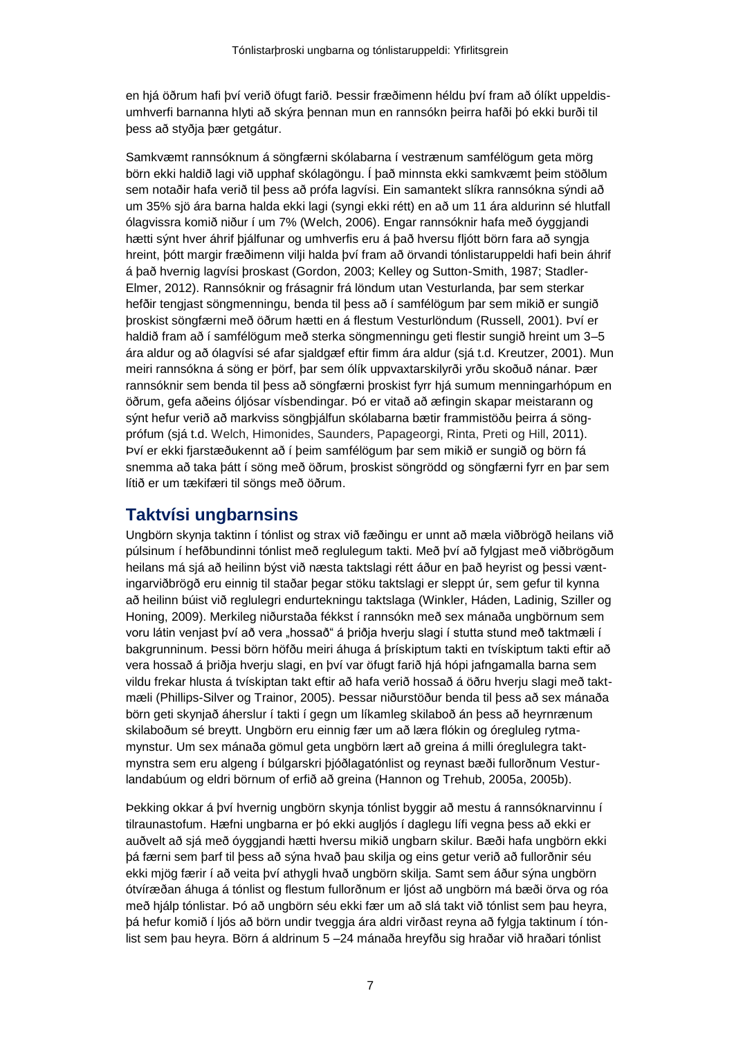en hjá öðrum hafi því verið öfugt farið. Þessir fræðimenn héldu því fram að ólíkt uppeldisumhverfi barnanna hlyti að skýra þennan mun en rannsókn þeirra hafði þó ekki burði til þess að styðja þær getgátur.

Samkvæmt rannsóknum á söngfærni skólabarna í vestrænum samfélögum geta mörg börn ekki haldið lagi við upphaf skólagöngu. Í það minnsta ekki samkvæmt þeim stöðlum sem notaðir hafa verið til þess að prófa lagvísi. Ein samantekt slíkra rannsókna sýndi að um 35% sjö ára barna halda ekki lagi (syngi ekki rétt) en að um 11 ára aldurinn sé hlutfall ólagvissra komið niður í um 7% (Welch, 2006). Engar rannsóknir hafa með óyggjandi hætti sýnt hver áhrif þjálfunar og umhverfis eru á það hversu fljótt börn fara að syngja hreint, þótt margir fræðimenn vilji halda því fram að örvandi tónlistaruppeldi hafi bein áhrif á það hvernig lagvísi þroskast (Gordon, 2003; Kelley og Sutton-Smith, 1987; Stadler-Elmer, 2012). Rannsóknir og frásagnir frá löndum utan Vesturlanda, þar sem sterkar hefðir tengjast söngmenningu, benda til þess að í samfélögum þar sem mikið er sungið þroskist söngfærni með öðrum hætti en á flestum Vesturlöndum (Russell, 2001). Því er haldið fram að í samfélögum með sterka söngmenningu geti flestir sungið hreint um 3–5 ára aldur og að ólagvísi sé afar sjaldgæf eftir fimm ára aldur (sjá t.d. Kreutzer, 2001). Mun meiri rannsókna á söng er þörf, þar sem ólík uppvaxtarskilyrði yrðu skoðuð nánar. Þær rannsóknir sem benda til þess að söngfærni þroskist fyrr hjá sumum menningarhópum en öðrum, gefa aðeins óljósar vísbendingar. Þó er vitað að æfingin skapar meistarann og sýnt hefur verið að markviss söngþjálfun skólabarna bætir frammistöðu þeirra á söngprófum (sjá t.d. Welch, Himonides, Saunders, Papageorgi, Rinta, Preti og Hill, 2011). Því er ekki fjarstæðukennt að í þeim samfélögum þar sem mikið er sungið og börn fá snemma að taka þátt í söng með öðrum, þroskist söngrödd og söngfærni fyrr en þar sem lítið er um tækifæri til söngs með öðrum.

# **Taktvísi ungbarnsins**

Ungbörn skynja taktinn í tónlist og strax við fæðingu er unnt að mæla viðbrögð heilans við púlsinum í hefðbundinni tónlist með reglulegum takti. Með því að fylgjast með viðbrögðum heilans má sjá að heilinn býst við næsta taktslagi rétt áður en það heyrist og þessi væntingarviðbrögð eru einnig til staðar þegar stöku taktslagi er sleppt úr, sem gefur til kynna að heilinn búist við reglulegri endurtekningu taktslaga (Winkler, Háden, Ladinig, Sziller og Honing, 2009). Merkileg niðurstaða fékkst í rannsókn með sex mánaða ungbörnum sem voru látin venjast því að vera "hossað" á þriðja hverju slagi í stutta stund með taktmæli í bakgrunninum. Þessi börn höfðu meiri áhuga á þrískiptum takti en tvískiptum takti eftir að vera hossað á þriðja hverju slagi, en því var öfugt farið hjá hópi jafngamalla barna sem vildu frekar hlusta á tvískiptan takt eftir að hafa verið hossað á öðru hverju slagi með taktmæli (Phillips-Silver og Trainor, 2005). Þessar niðurstöður benda til þess að sex mánaða börn geti skynjað áherslur í takti í gegn um líkamleg skilaboð án þess að heyrnrænum skilaboðum sé breytt. Ungbörn eru einnig fær um að læra flókin og óregluleg rytmamynstur. Um sex mánaða gömul geta ungbörn lært að greina á milli óreglulegra taktmynstra sem eru algeng í búlgarskri þjóðlagatónlist og reynast bæði fullorðnum Vesturlandabúum og eldri börnum of erfið að greina (Hannon og Trehub, 2005a, 2005b).

Þekking okkar á því hvernig ungbörn skynja tónlist byggir að mestu á rannsóknarvinnu í tilraunastofum. Hæfni ungbarna er þó ekki augljós í daglegu lífi vegna þess að ekki er auðvelt að sjá með óyggjandi hætti hversu mikið ungbarn skilur. Bæði hafa ungbörn ekki þá færni sem þarf til þess að sýna hvað þau skilja og eins getur verið að fullorðnir séu ekki mjög færir í að veita því athygli hvað ungbörn skilja. Samt sem áður sýna ungbörn ótvíræðan áhuga á tónlist og flestum fullorðnum er ljóst að ungbörn má bæði örva og róa með hjálp tónlistar. Þó að ungbörn séu ekki fær um að slá takt við tónlist sem þau heyra, þá hefur komið í ljós að börn undir tveggja ára aldri virðast reyna að fylgja taktinum í tónlist sem þau heyra. Börn á aldrinum 5 –24 mánaða hreyfðu sig hraðar við hraðari tónlist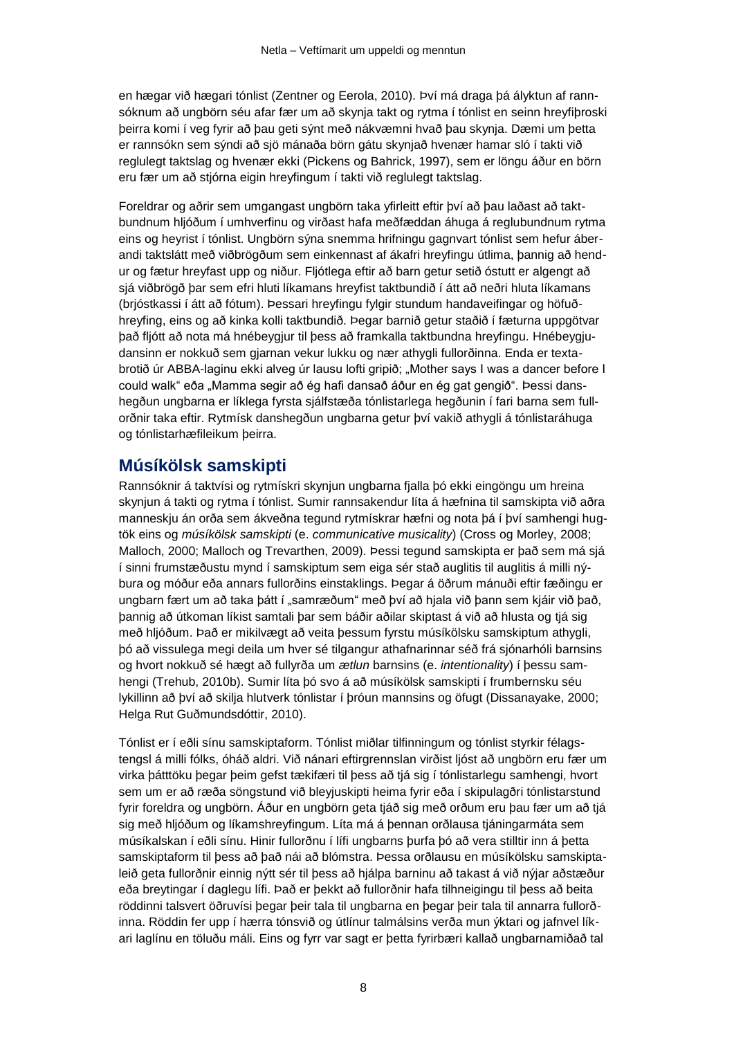en hægar við hægari tónlist (Zentner og Eerola, 2010). Því má draga þá ályktun af rannsóknum að ungbörn séu afar fær um að skynja takt og rytma í tónlist en seinn hreyfiþroski þeirra komi í veg fyrir að þau geti sýnt með nákvæmni hvað þau skynja. Dæmi um þetta er rannsókn sem sýndi að sjö mánaða börn gátu skynjað hvenær hamar sló í takti við reglulegt taktslag og hvenær ekki (Pickens og Bahrick, 1997), sem er löngu áður en börn eru fær um að stjórna eigin hreyfingum í takti við reglulegt taktslag.

Foreldrar og aðrir sem umgangast ungbörn taka yfirleitt eftir því að þau laðast að taktbundnum hljóðum í umhverfinu og virðast hafa meðfæddan áhuga á reglubundnum rytma eins og heyrist í tónlist. Ungbörn sýna snemma hrifningu gagnvart tónlist sem hefur áberandi taktslátt með viðbrögðum sem einkennast af ákafri hreyfingu útlima, þannig að hendur og fætur hreyfast upp og niður. Fljótlega eftir að barn getur setið óstutt er algengt að sjá viðbrögð þar sem efri hluti líkamans hreyfist taktbundið í átt að neðri hluta líkamans (brjóstkassi í átt að fótum). Þessari hreyfingu fylgir stundum handaveifingar og höfuðhreyfing, eins og að kinka kolli taktbundið. Þegar barnið getur staðið í fæturna uppgötvar það fljótt að nota má hnébeygjur til þess að framkalla taktbundna hreyfingu. Hnébeygjudansinn er nokkuð sem gjarnan vekur lukku og nær athygli fullorðinna. Enda er textabrotið úr ABBA-laginu ekki alveg úr lausu lofti gripið; "Mother says I was a dancer before I could walk" eða "Mamma segir að ég hafi dansað áður en ég gat gengið". Þessi danshegðun ungbarna er líklega fyrsta sjálfstæða tónlistarlega hegðunin í fari barna sem fullorðnir taka eftir. Rytmísk danshegðun ungbarna getur því vakið athygli á tónlistaráhuga og tónlistarhæfileikum þeirra.

### **Músíkölsk samskipti**

Rannsóknir á taktvísi og rytmískri skynjun ungbarna fjalla þó ekki eingöngu um hreina skynjun á takti og rytma í tónlist. Sumir rannsakendur líta á hæfnina til samskipta við aðra manneskju án orða sem ákveðna tegund rytmískrar hæfni og nota þá í því samhengi hugtök eins og *músíkölsk samskipti* (e. *communicative musicality*) (Cross og Morley, 2008; Malloch, 2000; Malloch og Trevarthen, 2009). Þessi tegund samskipta er það sem má sjá í sinni frumstæðustu mynd í samskiptum sem eiga sér stað auglitis til auglitis á milli nýbura og móður eða annars fullorðins einstaklings. Þegar á öðrum mánuði eftir fæðingu er ungbarn fært um að taka þátt í "samræðum" með því að hjala við þann sem kjáir við það, þannig að útkoman líkist samtali þar sem báðir aðilar skiptast á við að hlusta og tjá sig með hljóðum. Það er mikilvægt að veita þessum fyrstu músíkölsku samskiptum athygli, þó að vissulega megi deila um hver sé tilgangur athafnarinnar séð frá sjónarhóli barnsins og hvort nokkuð sé hægt að fullyrða um *ætlun* barnsins (e. *intentionality*) í þessu samhengi (Trehub, 2010b). Sumir líta þó svo á að músíkölsk samskipti í frumbernsku séu lykillinn að því að skilja hlutverk tónlistar í þróun mannsins og öfugt (Dissanayake, 2000; Helga Rut Guðmundsdóttir, 2010).

Tónlist er í eðli sínu samskiptaform. Tónlist miðlar tilfinningum og tónlist styrkir félagstengsl á milli fólks, óháð aldri. Við nánari eftirgrennslan virðist ljóst að ungbörn eru fær um virka þátttöku þegar þeim gefst tækifæri til þess að tjá sig í tónlistarlegu samhengi, hvort sem um er að ræða söngstund við bleyjuskipti heima fyrir eða í skipulagðri tónlistarstund fyrir foreldra og ungbörn. Áður en ungbörn geta tjáð sig með orðum eru þau fær um að tjá sig með hljóðum og líkamshreyfingum. Líta má á þennan orðlausa tjáningarmáta sem músíkalskan í eðli sínu. Hinir fullorðnu í lífi ungbarns þurfa þó að vera stilltir inn á þetta samskiptaform til þess að það nái að blómstra. Þessa orðlausu en músíkölsku samskiptaleið geta fullorðnir einnig nýtt sér til þess að hjálpa barninu að takast á við nýjar aðstæður eða breytingar í daglegu lífi. Það er þekkt að fullorðnir hafa tilhneigingu til þess að beita röddinni talsvert öðruvísi þegar þeir tala til ungbarna en þegar þeir tala til annarra fullorðinna. Röddin fer upp í hærra tónsvið og útlínur talmálsins verða mun ýktari og jafnvel líkari laglínu en töluðu máli. Eins og fyrr var sagt er þetta fyrirbæri kallað ungbarnamiðað tal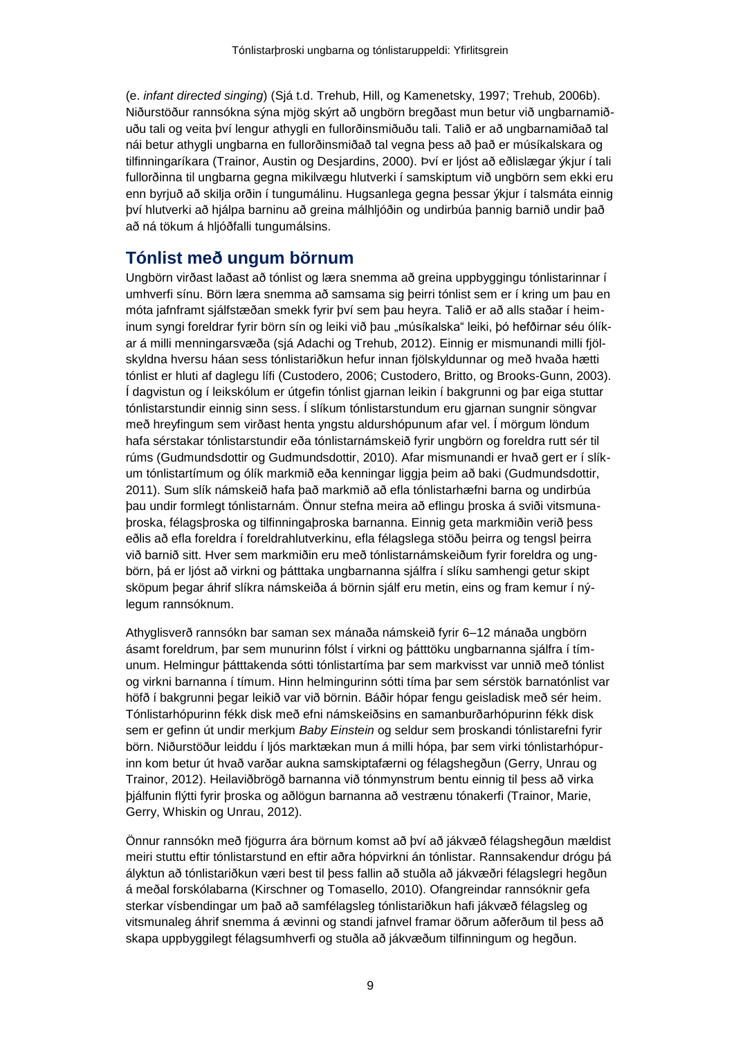(e. *infant directed singing*) (Sjá t.d. Trehub, Hill, og Kamenetsky, 1997; Trehub, 2006b). Niðurstöður rannsókna sýna mjög skýrt að ungbörn bregðast mun betur við ungbarnamiðuðu tali og veita því lengur athygli en fullorðinsmiðuðu tali. Talið er að ungbarnamiðað tal nái betur athygli ungbarna en fullorðinsmiðað tal vegna þess að það er músíkalskara og tilfinningaríkara (Trainor, Austin og Desjardins, 2000). Því er ljóst að eðlislægar ýkjur í tali fullorðinna til ungbarna gegna mikilvægu hlutverki í samskiptum við ungbörn sem ekki eru enn byrjuð að skilja orðin í tungumálinu. Hugsanlega gegna þessar ýkjur í talsmáta einnig því hlutverki að hjálpa barninu að greina málhljóðin og undirbúa þannig barnið undir það að ná tökum á hljóðfalli tungumálsins.

## **Tónlist með ungum börnum**

Ungbörn virðast laðast að tónlist og læra snemma að greina uppbyggingu tónlistarinnar í umhverfi sínu. Börn læra snemma að samsama sig þeirri tónlist sem er í kring um þau en móta jafnframt sjálfstæðan smekk fyrir því sem þau heyra. Talið er að alls staðar í heiminum syngi foreldrar fyrir börn sín og leiki við þau "músíkalska" leiki, þó hefðirnar séu ólíkar á milli menningarsvæða (sjá Adachi og Trehub, 2012). Einnig er mismunandi milli fjölskyldna hversu háan sess tónlistariðkun hefur innan fjölskyldunnar og með hvaða hætti tónlist er hluti af daglegu lífi (Custodero, 2006; Custodero, Britto, og Brooks-Gunn, 2003). Í dagvistun og í leikskólum er útgefin tónlist gjarnan leikin í bakgrunni og þar eiga stuttar tónlistarstundir einnig sinn sess. Í slíkum tónlistarstundum eru gjarnan sungnir söngvar með hreyfingum sem virðast henta yngstu aldurshópunum afar vel. Í mörgum löndum hafa sérstakar tónlistarstundir eða tónlistarnámskeið fyrir ungbörn og foreldra rutt sér til rúms (Gudmundsdottir og Gudmundsdottir, 2010). Afar mismunandi er hvað gert er í slíkum tónlistartímum og ólík markmið eða kenningar liggja þeim að baki (Gudmundsdottir, 2011). Sum slík námskeið hafa það markmið að efla tónlistarhæfni barna og undirbúa þau undir formlegt tónlistarnám. Önnur stefna meira að eflingu þroska á sviði vitsmunaþroska, félagsþroska og tilfinningaþroska barnanna. Einnig geta markmiðin verið þess eðlis að efla foreldra í foreldrahlutverkinu, efla félagslega stöðu þeirra og tengsl þeirra við barnið sitt. Hver sem markmiðin eru með tónlistarnámskeiðum fyrir foreldra og ungbörn, þá er ljóst að virkni og þátttaka ungbarnanna sjálfra í slíku samhengi getur skipt sköpum þegar áhrif slíkra námskeiða á börnin sjálf eru metin, eins og fram kemur í nýlegum rannsóknum.

Athyglisverð rannsókn bar saman sex mánaða námskeið fyrir 6–12 mánaða ungbörn ásamt foreldrum, þar sem munurinn fólst í virkni og þátttöku ungbarnanna sjálfra í tímunum. Helmingur þátttakenda sótti tónlistartíma þar sem markvisst var unnið með tónlist og virkni barnanna í tímum. Hinn helmingurinn sótti tíma þar sem sérstök barnatónlist var höfð í bakgrunni þegar leikið var við börnin. Báðir hópar fengu geisladisk með sér heim. Tónlistarhópurinn fékk disk með efni námskeiðsins en samanburðarhópurinn fékk disk sem er gefinn út undir merkjum *Baby Einstein* og seldur sem þroskandi tónlistarefni fyrir börn. Niðurstöður leiddu í ljós marktækan mun á milli hópa, þar sem virki tónlistarhópurinn kom betur út hvað varðar aukna samskiptafærni og félagshegðun (Gerry, Unrau og Trainor, 2012). Heilaviðbrögð barnanna við tónmynstrum bentu einnig til þess að virka þjálfunin flýtti fyrir þroska og aðlögun barnanna að vestrænu tónakerfi (Trainor, Marie, Gerry, Whiskin og Unrau, 2012).

Önnur rannsókn með fjögurra ára börnum komst að því að jákvæð félagshegðun mældist meiri stuttu eftir tónlistarstund en eftir aðra hópvirkni án tónlistar. Rannsakendur drógu þá ályktun að tónlistariðkun væri best til þess fallin að stuðla að jákvæðri félagslegri hegðun á meðal forskólabarna (Kirschner og Tomasello, 2010). Ofangreindar rannsóknir gefa sterkar vísbendingar um það að samfélagsleg tónlistariðkun hafi jákvæð félagsleg og vitsmunaleg áhrif snemma á ævinni og standi jafnvel framar öðrum aðferðum til þess að skapa uppbyggilegt félagsumhverfi og stuðla að jákvæðum tilfinningum og hegðun.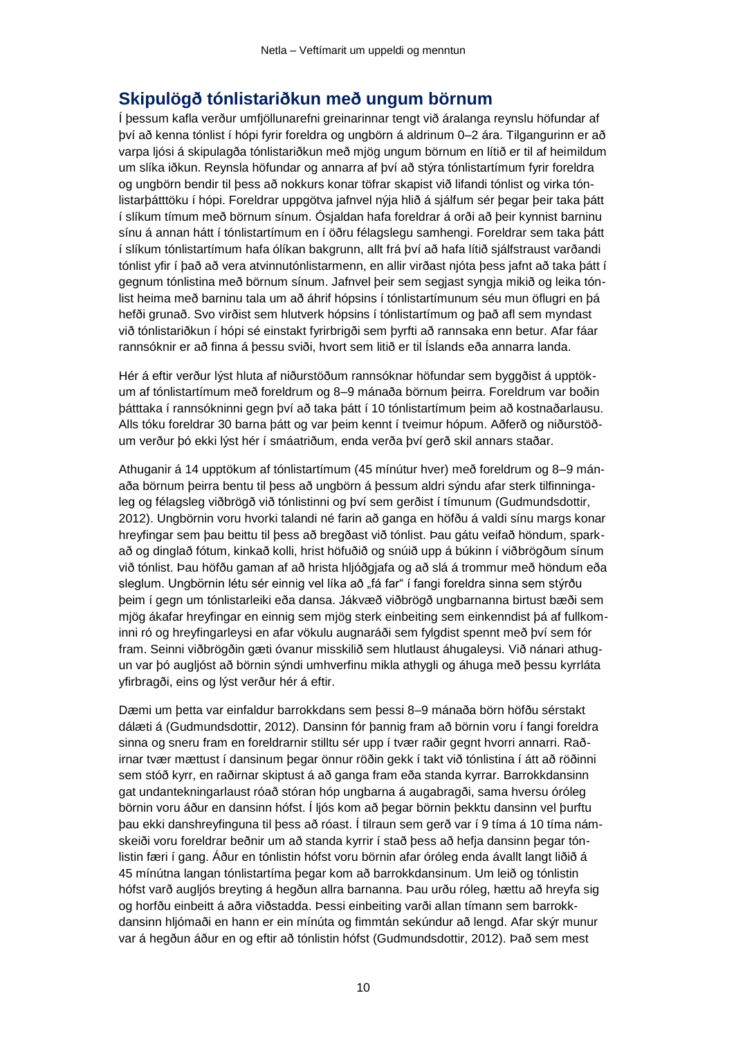## **Skipulögð tónlistariðkun með ungum börnum**

Í þessum kafla verður umfjöllunarefni greinarinnar tengt við áralanga reynslu höfundar af því að kenna tónlist í hópi fyrir foreldra og ungbörn á aldrinum 0–2 ára. Tilgangurinn er að varpa ljósi á skipulagða tónlistariðkun með mjög ungum börnum en lítið er til af heimildum um slíka iðkun. Reynsla höfundar og annarra af því að stýra tónlistartímum fyrir foreldra og ungbörn bendir til þess að nokkurs konar töfrar skapist við lifandi tónlist og virka tónlistarþátttöku í hópi. Foreldrar uppgötva jafnvel nýja hlið á sjálfum sér þegar þeir taka þátt í slíkum tímum með börnum sínum. Ósjaldan hafa foreldrar á orði að þeir kynnist barninu sínu á annan hátt í tónlistartímum en í öðru félagslegu samhengi. Foreldrar sem taka þátt í slíkum tónlistartímum hafa ólíkan bakgrunn, allt frá því að hafa lítið sjálfstraust varðandi tónlist yfir í það að vera atvinnutónlistarmenn, en allir virðast njóta þess jafnt að taka þátt í gegnum tónlistina með börnum sínum. Jafnvel þeir sem segjast syngja mikið og leika tónlist heima með barninu tala um að áhrif hópsins í tónlistartímunum séu mun öflugri en þá hefði grunað. Svo virðist sem hlutverk hópsins í tónlistartímum og það afl sem myndast við tónlistariðkun í hópi sé einstakt fyrirbrigði sem þyrfti að rannsaka enn betur. Afar fáar rannsóknir er að finna á þessu sviði, hvort sem litið er til Íslands eða annarra landa.

Hér á eftir verður lýst hluta af niðurstöðum rannsóknar höfundar sem byggðist á upptökum af tónlistartímum með foreldrum og 8–9 mánaða börnum þeirra. Foreldrum var boðin þátttaka í rannsókninni gegn því að taka þátt í 10 tónlistartímum þeim að kostnaðarlausu. Alls tóku foreldrar 30 barna þátt og var þeim kennt í tveimur hópum. Aðferð og niðurstöðum verður þó ekki lýst hér í smáatriðum, enda verða því gerð skil annars staðar.

Athuganir á 14 upptökum af tónlistartímum (45 mínútur hver) með foreldrum og 8–9 mánaða börnum þeirra bentu til þess að ungbörn á þessum aldri sýndu afar sterk tilfinningaleg og félagsleg viðbrögð við tónlistinni og því sem gerðist í tímunum (Gudmundsdottir, 2012). Ungbörnin voru hvorki talandi né farin að ganga en höfðu á valdi sínu margs konar hreyfingar sem þau beittu til þess að bregðast við tónlist. Þau gátu veifað höndum, sparkað og dinglað fótum, kinkað kolli, hrist höfuðið og snúið upp á búkinn í viðbrögðum sínum við tónlist. Þau höfðu gaman af að hrista hljóðgjafa og að slá á trommur með höndum eða sleglum. Ungbörnin létu sér einnig vel líka að "fá far" í fangi foreldra sinna sem stýrðu þeim í gegn um tónlistarleiki eða dansa. Jákvæð viðbrögð ungbarnanna birtust bæði sem mjög ákafar hreyfingar en einnig sem mjög sterk einbeiting sem einkenndist þá af fullkominni ró og hreyfingarleysi en afar vökulu augnaráði sem fylgdist spennt með því sem fór fram. Seinni viðbrögðin gæti óvanur misskilið sem hlutlaust áhugaleysi. Við nánari athugun var þó augljóst að börnin sýndi umhverfinu mikla athygli og áhuga með þessu kyrrláta yfirbragði, eins og lýst verður hér á eftir.

Dæmi um þetta var einfaldur barrokkdans sem þessi 8–9 mánaða börn höfðu sérstakt dálæti á (Gudmundsdottir, 2012). Dansinn fór þannig fram að börnin voru í fangi foreldra sinna og sneru fram en foreldrarnir stilltu sér upp í tvær raðir gegnt hvorri annarri. Raðirnar tvær mættust í dansinum þegar önnur röðin gekk í takt við tónlistina í átt að röðinni sem stóð kyrr, en raðirnar skiptust á að ganga fram eða standa kyrrar. Barrokkdansinn gat undantekningarlaust róað stóran hóp ungbarna á augabragði, sama hversu óróleg börnin voru áður en dansinn hófst. Í ljós kom að þegar börnin þekktu dansinn vel þurftu þau ekki danshreyfinguna til þess að róast. Í tilraun sem gerð var í 9 tíma á 10 tíma námskeiði voru foreldrar beðnir um að standa kyrrir í stað þess að hefja dansinn þegar tónlistin færi í gang. Áður en tónlistin hófst voru börnin afar óróleg enda ávallt langt liðið á 45 mínútna langan tónlistartíma þegar kom að barrokkdansinum. Um leið og tónlistin hófst varð augljós breyting á hegðun allra barnanna. Þau urðu róleg, hættu að hreyfa sig og horfðu einbeitt á aðra viðstadda. Þessi einbeiting varði allan tímann sem barrokkdansinn hljómaði en hann er ein mínúta og fimmtán sekúndur að lengd. Afar skýr munur var á hegðun áður en og eftir að tónlistin hófst (Gudmundsdottir, 2012). Það sem mest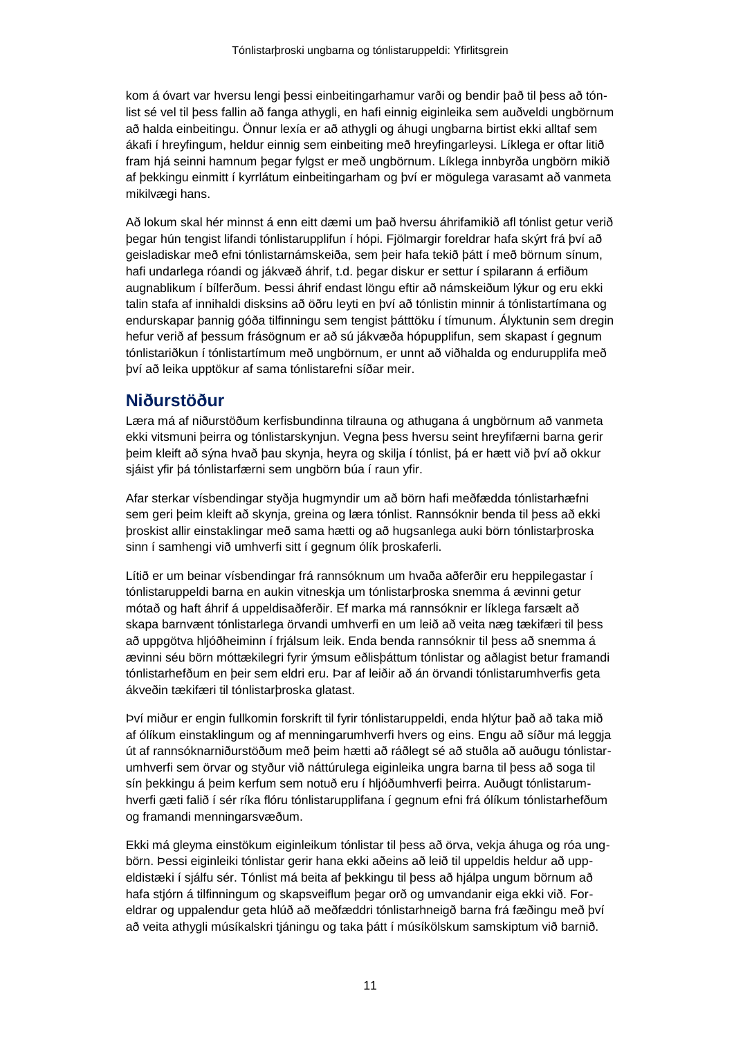kom á óvart var hversu lengi þessi einbeitingarhamur varði og bendir það til þess að tónlist sé vel til þess fallin að fanga athygli, en hafi einnig eiginleika sem auðveldi ungbörnum að halda einbeitingu. Önnur lexía er að athygli og áhugi ungbarna birtist ekki alltaf sem ákafi í hreyfingum, heldur einnig sem einbeiting með hreyfingarleysi. Líklega er oftar litið fram hjá seinni hamnum þegar fylgst er með ungbörnum. Líklega innbyrða ungbörn mikið af þekkingu einmitt í kyrrlátum einbeitingarham og því er mögulega varasamt að vanmeta mikilvægi hans.

Að lokum skal hér minnst á enn eitt dæmi um það hversu áhrifamikið afl tónlist getur verið þegar hún tengist lifandi tónlistarupplifun í hópi. Fjölmargir foreldrar hafa skýrt frá því að geisladiskar með efni tónlistarnámskeiða, sem þeir hafa tekið þátt í með börnum sínum, hafi undarlega róandi og jákvæð áhrif, t.d. þegar diskur er settur í spilarann á erfiðum augnablikum í bílferðum. Þessi áhrif endast löngu eftir að námskeiðum lýkur og eru ekki talin stafa af innihaldi disksins að öðru leyti en því að tónlistin minnir á tónlistartímana og endurskapar þannig góða tilfinningu sem tengist þátttöku í tímunum. Ályktunin sem dregin hefur verið af þessum frásögnum er að sú jákvæða hópupplifun, sem skapast í gegnum tónlistariðkun í tónlistartímum með ungbörnum, er unnt að viðhalda og endurupplifa með því að leika upptökur af sama tónlistarefni síðar meir.

## **Niðurstöður**

Læra má af niðurstöðum kerfisbundinna tilrauna og athugana á ungbörnum að vanmeta ekki vitsmuni þeirra og tónlistarskynjun. Vegna þess hversu seint hreyfifærni barna gerir þeim kleift að sýna hvað þau skynja, heyra og skilja í tónlist, þá er hætt við því að okkur sjáist yfir þá tónlistarfærni sem ungbörn búa í raun yfir.

Afar sterkar vísbendingar styðja hugmyndir um að börn hafi meðfædda tónlistarhæfni sem geri þeim kleift að skynja, greina og læra tónlist. Rannsóknir benda til þess að ekki þroskist allir einstaklingar með sama hætti og að hugsanlega auki börn tónlistarþroska sinn í samhengi við umhverfi sitt í gegnum ólík þroskaferli.

Lítið er um beinar vísbendingar frá rannsóknum um hvaða aðferðir eru heppilegastar í tónlistaruppeldi barna en aukin vitneskja um tónlistarþroska snemma á ævinni getur mótað og haft áhrif á uppeldisaðferðir. Ef marka má rannsóknir er líklega farsælt að skapa barnvænt tónlistarlega örvandi umhverfi en um leið að veita næg tækifæri til þess að uppgötva hljóðheiminn í frjálsum leik. Enda benda rannsóknir til þess að snemma á ævinni séu börn móttækilegri fyrir ýmsum eðlisþáttum tónlistar og aðlagist betur framandi tónlistarhefðum en þeir sem eldri eru. Þar af leiðir að án örvandi tónlistarumhverfis geta ákveðin tækifæri til tónlistarþroska glatast.

Því miður er engin fullkomin forskrift til fyrir tónlistaruppeldi, enda hlýtur það að taka mið af ólíkum einstaklingum og af menningarumhverfi hvers og eins. Engu að síður má leggja út af rannsóknarniðurstöðum með þeim hætti að ráðlegt sé að stuðla að auðugu tónlistarumhverfi sem örvar og styður við náttúrulega eiginleika ungra barna til þess að soga til sín þekkingu á þeim kerfum sem notuð eru í hljóðumhverfi þeirra. Auðugt tónlistarumhverfi gæti falið í sér ríka flóru tónlistarupplifana í gegnum efni frá ólíkum tónlistarhefðum og framandi menningarsvæðum.

Ekki má gleyma einstökum eiginleikum tónlistar til þess að örva, vekja áhuga og róa ungbörn. Þessi eiginleiki tónlistar gerir hana ekki aðeins að leið til uppeldis heldur að uppeldistæki í sjálfu sér. Tónlist má beita af þekkingu til þess að hjálpa ungum börnum að hafa stjórn á tilfinningum og skapsveiflum þegar orð og umvandanir eiga ekki við. Foreldrar og uppalendur geta hlúð að meðfæddri tónlistarhneigð barna frá fæðingu með því að veita athygli músíkalskri tjáningu og taka þátt í músíkölskum samskiptum við barnið.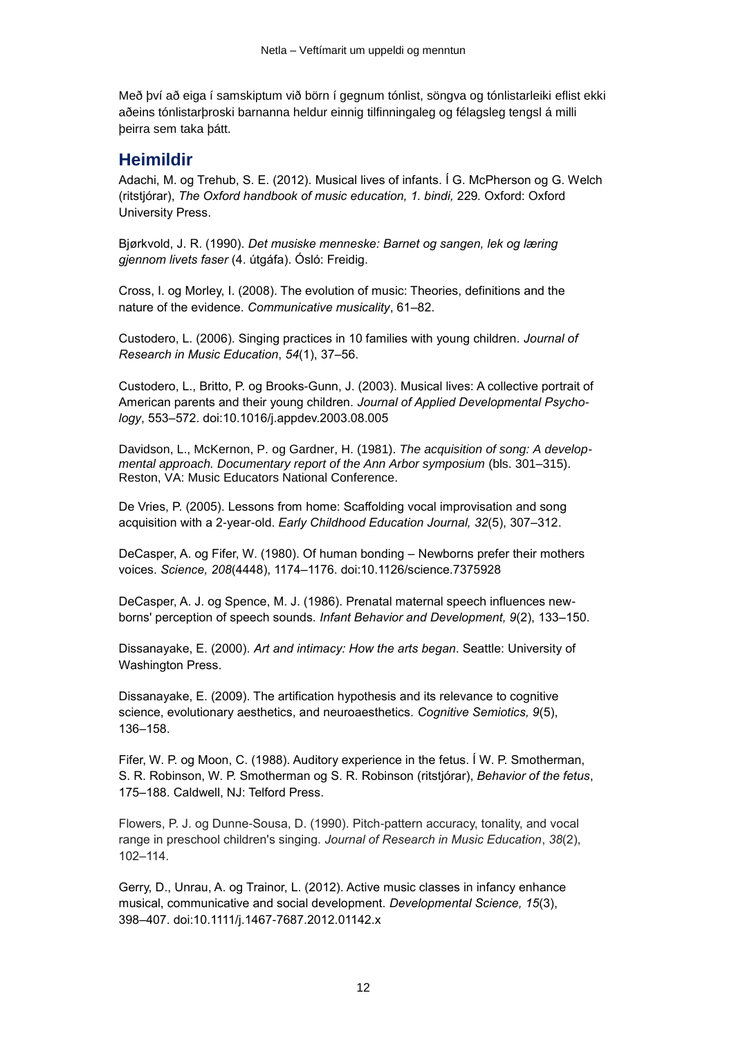Með því að eiga í samskiptum við börn í gegnum tónlist, söngva og tónlistarleiki eflist ekki aðeins tónlistarþroski barnanna heldur einnig tilfinningaleg og félagsleg tengsl á milli þeirra sem taka þátt.

## **Heimildir**

Adachi, M. og Trehub, S. E. (2012). Musical lives of infants. Í G. McPherson og G. Welch (ritstjórar), *The Oxford handbook of music education, 1. bindi,* 229*.* Oxford: Oxford University Press.

Bjørkvold, J. R. (1990). *Det musiske menneske: Barnet og sangen, lek og læring gjennom livets faser* (4. útgáfa). Ósló: Freidig.

Cross, I. og Morley, I. (2008). The evolution of music: Theories, definitions and the nature of the evidence. *Communicative musicality*, 61–82.

Custodero, L. (2006). Singing practices in 10 families with young children. *Journal of Research in Music Education*, *54*(1), 37–56.

Custodero, L., Britto, P. og Brooks-Gunn, J. (2003). Musical lives: A collective portrait of American parents and their young children. *Journal of Applied Developmental Psychology*, 553–572. doi:10.1016/j.appdev.2003.08.005

Davidson, L., McKernon, P. og Gardner, H. (1981). *The acquisition of song: A developmental approach. Documentary report of the Ann Arbor symposium* (bls. 301–315). Reston, VA: Music Educators National Conference.

De Vries, P. (2005). Lessons from home: Scaffolding vocal improvisation and song acquisition with a 2-year-old. *Early Childhood Education Journal, 32*(5), 307–312.

DeCasper, A. og Fifer, W. (1980). Of human bonding – Newborns prefer their mothers voices. *Science, 208*(4448), 1174–1176. doi:10.1126/science.7375928

DeCasper, A. J. og Spence, M. J. (1986). Prenatal maternal speech influences newborns' perception of speech sounds. *Infant Behavior and Development, 9*(2), 133–150.

Dissanayake, E. (2000). *Art and intimacy: How the arts began*. Seattle: University of Washington Press.

Dissanayake, E. (2009). The artification hypothesis and its relevance to cognitive science, evolutionary aesthetics, and neuroaesthetics. *Cognitive Semiotics, 9*(5), 136–158.

Fifer, W. P. og Moon, C. (1988). Auditory experience in the fetus. Í W. P. Smotherman, S. R. Robinson, W. P. Smotherman og S. R. Robinson (ritstjórar), *Behavior of the fetus*, 175–188. Caldwell, NJ: Telford Press.

Flowers, P. J. og Dunne-Sousa, D. (1990). Pitch-pattern accuracy, tonality, and vocal range in preschool children's singing. *Journal of Research in Music Education*, *38*(2), 102–114.

Gerry, D., Unrau, A. og Trainor, L. (2012). Active music classes in infancy enhance musical, communicative and social development. *Developmental Science, 15*(3), 398–407. doi:10.1111/j.1467-7687.2012.01142.x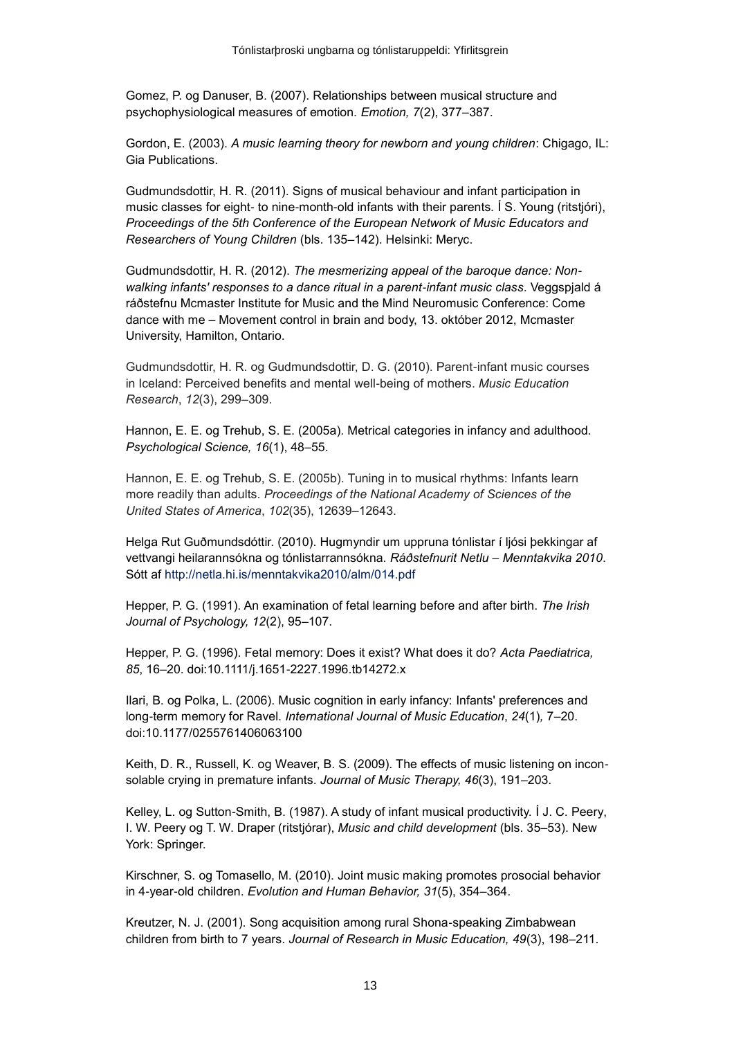Gomez, P. og Danuser, B. (2007). Relationships between musical structure and psychophysiological measures of emotion. *Emotion, 7*(2), 377–387.

Gordon, E. (2003). *A music learning theory for newborn and young children*: Chigago, IL: Gia Publications.

Gudmundsdottir, H. R. (2011). Signs of musical behaviour and infant participation in music classes for eight- to nine-month-old infants with their parents*.* Í S. Young (ritstjóri), *Proceedings of the 5th Conference of the European Network of Music Educators and Researchers of Young Children* (bls. 135–142). Helsinki: Meryc.

Gudmundsdottir, H. R. (2012). *The mesmerizing appeal of the baroque dance: Nonwalking infants' responses to a dance ritual in a parent-infant music class*. Veggspjald á ráðstefnu Mcmaster Institute for Music and the Mind Neuromusic Conference: Come dance with me – Movement control in brain and body, 13. október 2012, Mcmaster University, Hamilton, Ontario.

Gudmundsdottir, H. R. og Gudmundsdottir, D. G. (2010). Parent-infant music courses in Iceland: Perceived benefits and mental well-being of mothers. *Music Education Research*, *12*(3), 299–309.

Hannon, E. E. og Trehub, S. E. (2005a). Metrical categories in infancy and adulthood. *Psychological Science, 16*(1), 48–55.

Hannon, E. E. og Trehub, S. E. (2005b). Tuning in to musical rhythms: Infants learn more readily than adults. *Proceedings of the National Academy of Sciences of the United States of America*, *102*(35), 12639–12643.

Helga Rut Guðmundsdóttir. (2010). Hugmyndir um uppruna tónlistar í ljósi þekkingar af vettvangi heilarannsókna og tónlistarrannsókna. *Ráðstefnurit Netlu* – *Menntakvika 2010*. Sótt af <http://netla.hi.is/menntakvika2010/alm/014.pdf>

Hepper, P. G. (1991). An examination of fetal learning before and after birth. *The Irish Journal of Psychology, 12*(2), 95–107.

Hepper, P. G. (1996). Fetal memory: Does it exist? What does it do? *Acta Paediatrica, 85*, 16–20. doi:10.1111/j.1651-2227.1996.tb14272.x

Ilari, B. og Polka, L. (2006). Music cognition in early infancy: Infants' preferences and long-term memory for Ravel. *International Journal of Music Education*, *24*(1)*,* 7–20. doi:10.1177/0255761406063100

Keith, D. R., Russell, K. og Weaver, B. S. (2009). The effects of music listening on inconsolable crying in premature infants. *Journal of Music Therapy, 46*(3), 191–203.

Kelley, L. og Sutton-Smith, B. (1987). A study of infant musical productivity. Í J. C. Peery, I. W. Peery og T. W. Draper (ritstjórar), *Music and child development* (bls. 35–53). New York: Springer.

Kirschner, S. og Tomasello, M. (2010). Joint music making promotes prosocial behavior in 4-year-old children. *Evolution and Human Behavior, 31*(5), 354–364.

Kreutzer, N. J. (2001). Song acquisition among rural Shona-speaking Zimbabwean children from birth to 7 years. *Journal of Research in Music Education, 49*(3), 198–211.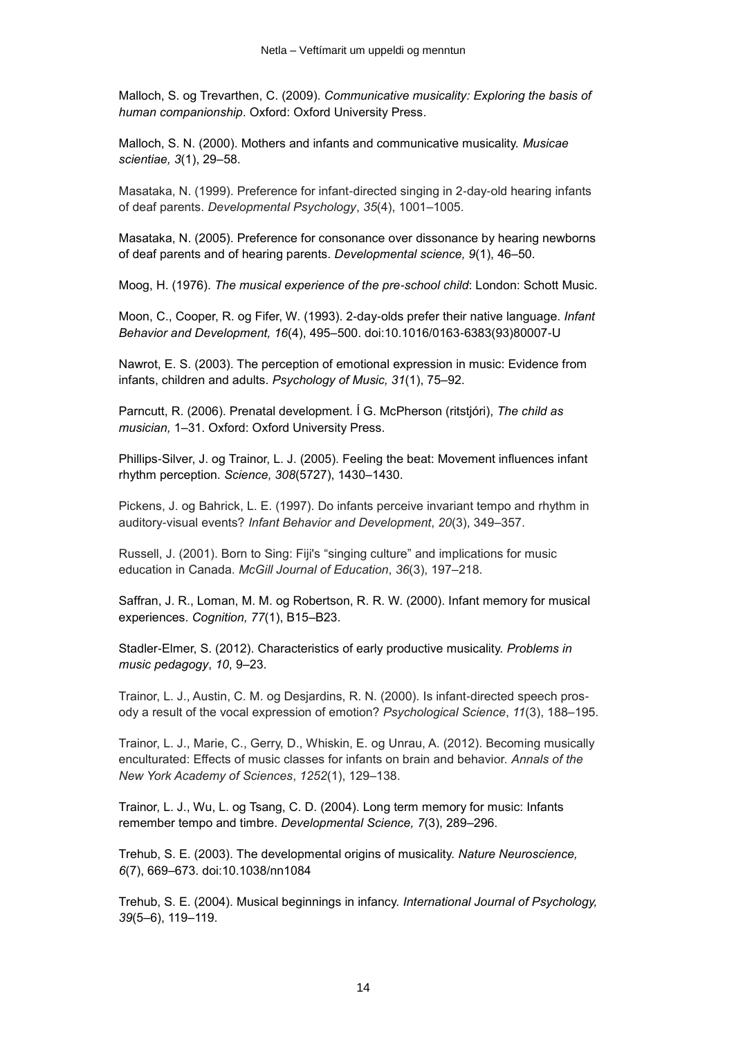Malloch, S. og Trevarthen, C. (2009). *Communicative musicality: Exploring the basis of human companionship*. Oxford: Oxford University Press.

Malloch, S. N. (2000). Mothers and infants and communicative musicality. *Musicae scientiae, 3*(1), 29–58.

Masataka, N. (1999). Preference for infant-directed singing in 2-day-old hearing infants of deaf parents. *Developmental Psychology*, *35*(4), 1001–1005.

Masataka, N. (2005). Preference for consonance over dissonance by hearing newborns of deaf parents and of hearing parents. *Developmental science, 9*(1), 46–50.

Moog, H. (1976). *The musical experience of the pre-school child*: London: Schott Music.

Moon, C., Cooper, R. og Fifer, W. (1993). 2-day-olds prefer their native language. *Infant Behavior and Development, 16*(4), 495–500. doi:10.1016/0163-6383(93)80007-U

Nawrot, E. S. (2003). The perception of emotional expression in music: Evidence from infants, children and adults. *Psychology of Music, 31*(1), 75–92.

Parncutt, R. (2006). Prenatal development. Í G. McPherson (ritstjóri), *The child as musician,* 1–31. Oxford: Oxford University Press.

Phillips-Silver, J. og Trainor, L. J. (2005). Feeling the beat: Movement influences infant rhythm perception. *Science, 308*(5727), 1430–1430.

Pickens, J. og Bahrick, L. E. (1997). Do infants perceive invariant tempo and rhythm in auditory-visual events? *Infant Behavior and Development*, *20*(3), 349–357.

Russell, J. (2001). Born to Sing: Fiji's "singing culture" and implications for music education in Canada. *McGill Journal of Education*, *36*(3), 197–218.

Saffran, J. R., Loman, M. M. og Robertson, R. R. W. (2000). Infant memory for musical experiences. *Cognition, 77*(1), B15–B23.

Stadler-Elmer, S. (2012). Characteristics of early productive musicality. *Problems in music pedagogy*, *10*, 9–23.

Trainor, L. J., Austin, C. M. og Desjardins, R. N. (2000). Is infant-directed speech prosody a result of the vocal expression of emotion? *Psychological Science*, *11*(3), 188–195.

Trainor, L. J., Marie, C., Gerry, D., Whiskin, E. og Unrau, A. (2012). Becoming musically enculturated: Effects of music classes for infants on brain and behavior. *Annals of the New York Academy of Sciences*, *1252*(1), 129–138.

Trainor, L. J., Wu, L. og Tsang, C. D. (2004). Long term memory for music: Infants remember tempo and timbre. *Developmental Science, 7*(3), 289–296.

Trehub, S. E. (2003). The developmental origins of musicality. *Nature Neuroscience, 6*(7), 669–673. doi:10.1038/nn1084

Trehub, S. E. (2004). Musical beginnings in infancy. *International Journal of Psychology, 39*(5–6), 119–119.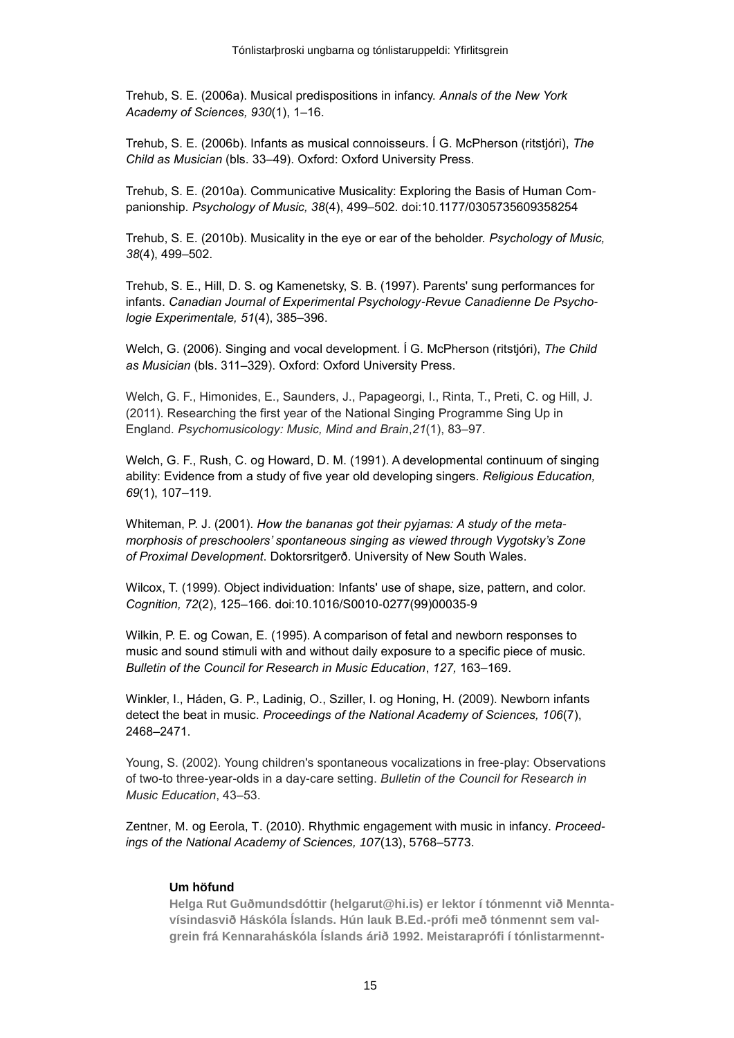Trehub, S. E. (2006a). Musical predispositions in infancy. *Annals of the New York Academy of Sciences, 930*(1), 1–16.

Trehub, S. E. (2006b). Infants as musical connoisseurs. Í G. McPherson (ritstjóri), *The Child as Musician* (bls. 33–49). Oxford: Oxford University Press.

Trehub, S. E. (2010a). Communicative Musicality: Exploring the Basis of Human Companionship. *Psychology of Music, 38*(4), 499–502. doi:10.1177/0305735609358254

Trehub, S. E. (2010b). Musicality in the eye or ear of the beholder. *Psychology of Music, 38*(4), 499–502.

Trehub, S. E., Hill, D. S. og Kamenetsky, S. B. (1997). Parents' sung performances for infants. *Canadian Journal of Experimental Psychology-Revue Canadienne De Psychologie Experimentale, 51*(4), 385–396.

Welch, G. (2006). Singing and vocal development. Í G. McPherson (ritstjóri), *The Child as Musician* (bls. 311–329). Oxford: Oxford University Press.

Welch, G. F., Himonides, E., Saunders, J., Papageorgi, I., Rinta, T., Preti, C. og Hill, J. (2011). Researching the first year of the National Singing Programme Sing Up in England. *Psychomusicology: Music, Mind and Brain*,*21*(1), 83–97.

Welch, G. F., Rush, C. og Howard, D. M. (1991). A developmental continuum of singing ability: Evidence from a study of five year old developing singers. *Religious Education, 69*(1), 107–119.

Whiteman, P. J. (2001). *How the bananas got their pyjamas: A study of the metamorphosis of preschoolers' spontaneous singing as viewed through Vygotsky's Zone of Proximal Development*. Doktorsritgerð. University of New South Wales.

Wilcox, T. (1999). Object individuation: Infants' use of shape, size, pattern, and color. *Cognition, 72*(2), 125–166. doi:10.1016/S0010-0277(99)00035-9

Wilkin, P. E. og Cowan, E. (1995). A comparison of fetal and newborn responses to music and sound stimuli with and without daily exposure to a specific piece of music. *Bulletin of the Council for Research in Music Education*, *127,* 163–169.

Winkler, I., Háden, G. P., Ladinig, O., Sziller, I. og Honing, H. (2009). Newborn infants detect the beat in music. *Proceedings of the National Academy of Sciences, 106*(7), 2468–2471.

Young, S. (2002). Young children's spontaneous vocalizations in free-play: Observations of two-to three-year-olds in a day-care setting. *Bulletin of the Council for Research in Music Education*, 43–53.

<span id="page-14-0"></span>Zentner, M. og Eerola, T. (2010). Rhythmic engagement with music in infancy. *Proceedings of the National Academy of Sciences, 107*(13), 5768–5773.

#### **Um höfund**

**Helga Rut Guðmundsdóttir (helgarut@hi.is) er lektor í tónmennt við Menntavísindasvið Háskóla Íslands. Hún lauk B.Ed.-prófi með tónmennt sem valgrein frá Kennaraháskóla Íslands árið 1992. Meistaraprófi í tónlistarmennt-**